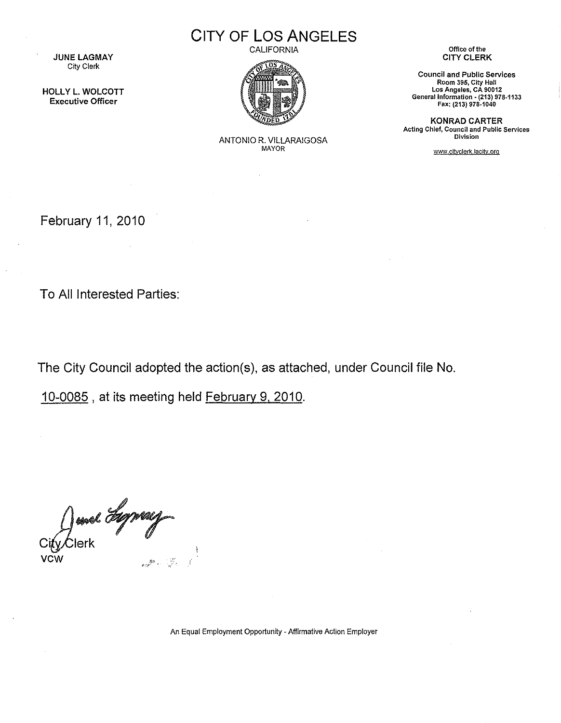**JUNE LAGMAY** City Clerk

HOLLY L. WOLCOTT Executive Officer

CITY OF LOS ANGELES

CALIFORNIA



ANTONIO R. VILLARAIGOSA MAYOR

Office of the CITY CLERK

Council and Public Services Room 395, City Hall Los Angeles, CA 90012 General Information. (213) 978-1133 Fax: (213) 978-1040

KONRAD CARTER Acting Chief, Council and Public Services Division

*www* citvclerk.lacitv.org

February 11, 2010

To All Interested Parties:

The City Council adopted the action(s), as attached, under Council file No.

10-0085 , at its meeting held February 9, 2010.

Junel *Suppose* 

An Equal Employment Opportunity- Affirmative Action Employer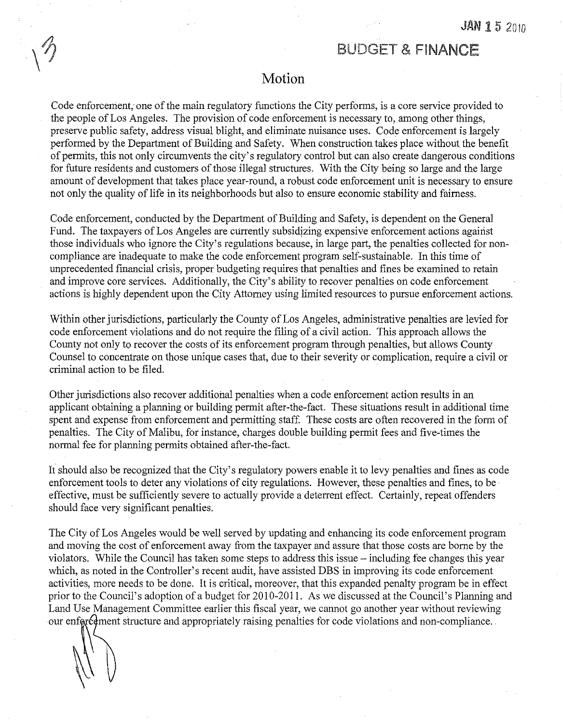## BUDGET & FINANCE

## **Motion**

Code enforcement, one of the main regulatory functions the City performs, is a core service provided to the people of Los Angeles. The provision of code enforcement is necessary to, among other things, preserve public safety, address visual blight, and eliminate nuisance uses. Code enforcement is largely performed by the Department of Building and Safety. When construction takes place without the benefit of permits, this not only circumvents the city's regulatory control but can also create dangerous conditions for future residents and customers of those illegal structures. With the City being so large and the large amount of development that takes place year-round, a robust code enforcement unit is necessary to ensure not only the quality of life in its neighborhoods but also to ensure economic stability and fairness.

Code enforcement, conducted by the Department of Building and Safety, is dependent on the General Fund. The taxpayers of Los Angeles are currently subsidjzing expensive enforcement actions against those individuals who ignore the City's regulations because, in large part, the penalties collected for noncompliance are inadequate to make the code enforcement program self-sustainable. In this time of unprecedented financial crisis, proper budgeting requires that penalties and fines be examined to retain and improve core services. Additionally, the City's ability to recover penalties on code enforcement actions is highly dependent upon the City Attorney using limited resources to pursue enforcement actions.

Within other jurisdictions, particularly the County of Los Angeles, administrative penalties are levied for code enforcement violations and do not require the filing of a civil action. This approach allows the County not only to recover the costs of its enforcement program through penalties, but allows County Counsel to concentrate on those unique cases that, due to their severity or complication, require a civil or criminal action to be filed.

Other jurisdictions also recover additional penalties when a code enforcement action results in an applicant obtaining a plarming or building permit after-the-fact. These situations result in additional time spent and expense from enforcement and permitting staff. These costs are often recovered in the form of penalties. The City of Malibu, for instance, charges double building permit fees and five-times the normal fee for planning permits obtained after-the-fact.

It should also be recognized that the City's regulatory powers enable it to levy penalties and fines as code enforcement tools to deter any violations of city regulations. However, these penalties and fines, to be effective, must be sufficiently severe to actually provide a deterrent effect. Certainly, repeat offenders should face very significant penalties.

The City of Los Angeles would be well served by updating and enhancing its code enforcement program and moving the cost of enforcement away from the taxpayer and assure that those costs are borne by the violators. While the Council has taken some steps to address this issue- including fee changes this year which, as noted in the Controller's recent audit, have assisted DBS in improving its code enforcement activities, more needs to be done. It is critical, moreover, that this expanded penalty program be in effect prior to the Council's adoption of a budget for 2010-2011. As we discussed at the Council's Planning and Land Use Management Committee earlier this fiscal year, we cannot go another year without reviewing our enfored ment structure and appropriately raising penalties for code violations and non-compliance.